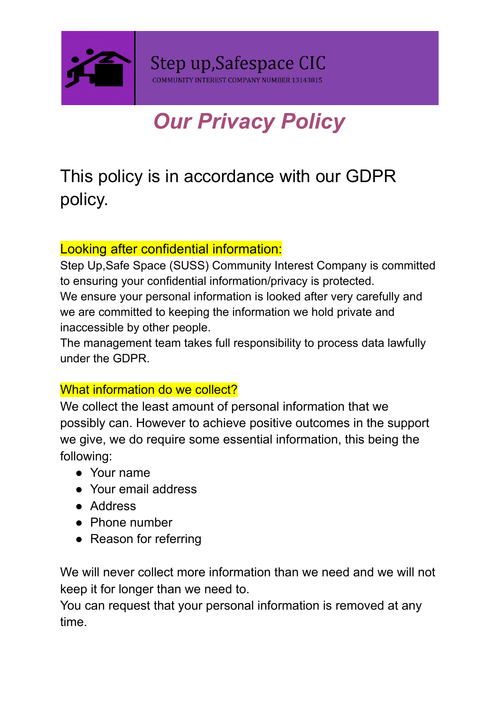

# *Our Privacy Policy*

# This policy is in accordance with our GDPR policy.

## Looking after confidential information:

Step Up,Safe Space (SUSS) Community Interest Company is committed to ensuring your confidential information/privacy is protected. We ensure your personal information is looked after very carefully and we are committed to keeping the information we hold private and inaccessible by other people.

The management team takes full responsibility to process data lawfully under the GDPR.

### What information do we collect?

We collect the least amount of personal information that we possibly can. However to achieve positive outcomes in the support we give, we do require some essential information, this being the following:

- Your name
- Your email address
- Address
- Phone number
- Reason for referring

We will never collect more information than we need and we will not keep it for longer than we need to.

You can request that your personal information is removed at any time.